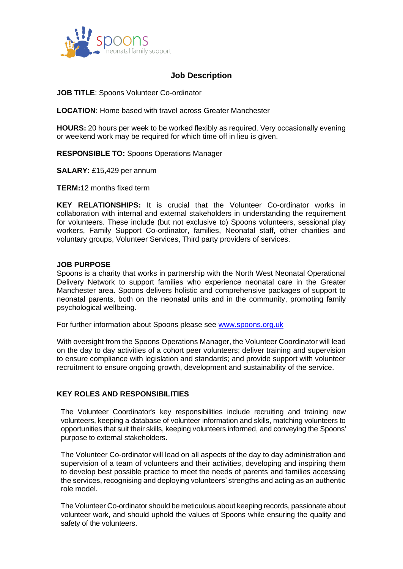

# **Job Description**

**JOB TITLE**: Spoons Volunteer Co-ordinator

**LOCATION**: Home based with travel across Greater Manchester

**HOURS:** 20 hours per week to be worked flexibly as required. Very occasionally evening or weekend work may be required for which time off in lieu is given.

**RESPONSIBLE TO:** Spoons Operations Manager

**SALARY:** £15,429 per annum

**TERM:**12 months fixed term

**KEY RELATIONSHIPS:** It is crucial that the Volunteer Co-ordinator works in collaboration with internal and external stakeholders in understanding the requirement for volunteers. These include (but not exclusive to) Spoons volunteers, sessional play workers, Family Support Co-ordinator, families, Neonatal staff, other charities and voluntary groups, Volunteer Services, Third party providers of services.

#### **JOB PURPOSE**

Spoons is a charity that works in partnership with the North West Neonatal Operational Delivery Network to support families who experience neonatal care in the Greater Manchester area. Spoons delivers holistic and comprehensive packages of support to neonatal parents, both on the neonatal units and in the community, promoting family psychological wellbeing.

For further information about Spoons please see [www.spoons.org.uk](http://www.spoons.org.uk/)

With oversight from the Spoons Operations Manager, the Volunteer Coordinator will lead on the day to day activities of a cohort peer volunteers; deliver training and supervision to ensure compliance with legislation and standards; and provide support with volunteer recruitment to ensure ongoing growth, development and sustainability of the service.

#### **KEY ROLES AND RESPONSIBILITIES**

The Volunteer Coordinator's key responsibilities include recruiting and training new volunteers, keeping a database of volunteer information and skills, matching volunteers to opportunities that suit their skills, keeping volunteers informed, and conveying the Spoons' purpose to external stakeholders.

The Volunteer Co-ordinator will lead on all aspects of the day to day administration and supervision of a team of volunteers and their activities, developing and inspiring them to develop best possible practice to meet the needs of parents and families accessing the services, recognising and deploying volunteers' strengths and acting as an authentic role model.

The Volunteer Co-ordinator should be meticulous about keeping records, passionate about volunteer work, and should uphold the values of Spoons while ensuring the quality and safety of the volunteers.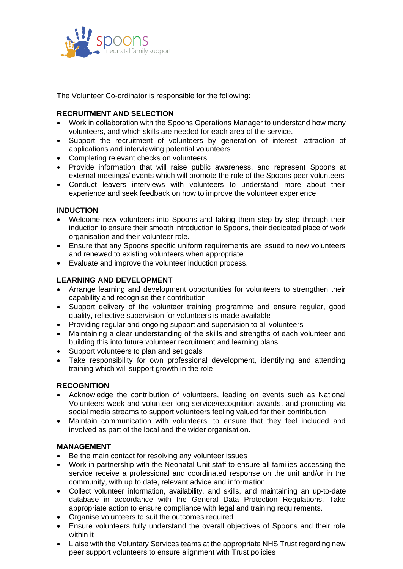

The Volunteer Co-ordinator is responsible for the following:

## **RECRUITMENT AND SELECTION**

- Work in collaboration with the Spoons Operations Manager to understand how many volunteers, and which skills are needed for each area of the service.
- Support the recruitment of volunteers by generation of interest, attraction of applications and interviewing potential volunteers
- Completing relevant checks on volunteers
- Provide information that will raise public awareness, and represent Spoons at external meetings/ events which will promote the role of the Spoons peer volunteers
- Conduct leavers interviews with volunteers to understand more about their experience and seek feedback on how to improve the volunteer experience

### **INDUCTION**

- Welcome new volunteers into Spoons and taking them step by step through their induction to ensure their smooth introduction to Spoons, their dedicated place of work organisation and their volunteer role.
- Ensure that any Spoons specific uniform requirements are issued to new volunteers and renewed to existing volunteers when appropriate
- Evaluate and improve the volunteer induction process.

### **LEARNING AND DEVELOPMENT**

- Arrange learning and development opportunities for volunteers to strengthen their capability and recognise their contribution
- Support delivery of the volunteer training programme and ensure regular, good quality, reflective supervision for volunteers is made available
- Providing regular and ongoing support and supervision to all volunteers
- Maintaining a clear understanding of the skills and strengths of each volunteer and building this into future volunteer recruitment and learning plans
- Support volunteers to plan and set goals
- Take responsibility for own professional development, identifying and attending training which will support growth in the role

### **RECOGNITION**

- Acknowledge the contribution of volunteers, leading on events such as National Volunteers week and volunteer long service/recognition awards, and promoting via social media streams to support volunteers feeling valued for their contribution
- Maintain communication with volunteers, to ensure that they feel included and involved as part of the local and the wider organisation.

### **MANAGEMENT**

- Be the main contact for resolving any volunteer issues
- Work in partnership with the Neonatal Unit staff to ensure all families accessing the service receive a professional and coordinated response on the unit and/or in the community, with up to date, relevant advice and information.
- Collect volunteer information, availability, and skills, and maintaining an up-to-date database in accordance with the General Data Protection Regulations. Take appropriate action to ensure compliance with legal and training requirements.
- Organise volunteers to suit the outcomes required
- Ensure volunteers fully understand the overall objectives of Spoons and their role within it
- Liaise with the Voluntary Services teams at the appropriate NHS Trust regarding new peer support volunteers to ensure alignment with Trust policies